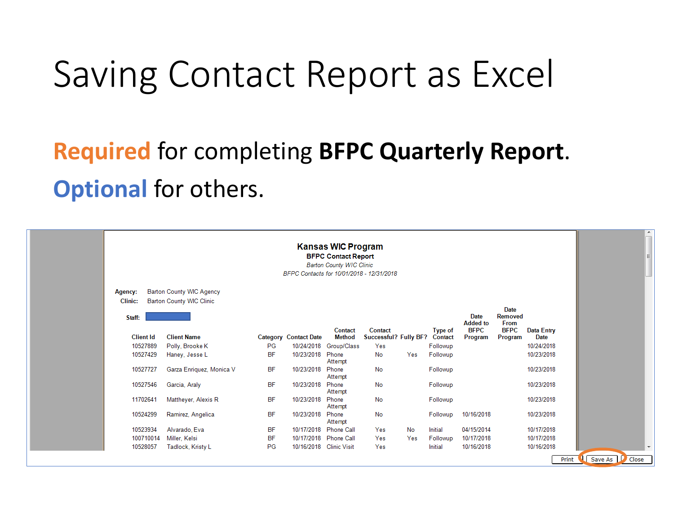# Saving Contact Report as Excel

### **Required** for completing **BFPC Quarterly Report**. **Optional** for others.

|                                     |                                                                    |           |                              | <b>Kansas WIC Program</b><br><b>BFPC Contact Report</b><br><b>Barton County WIC Clinic</b><br>BFPC Contacts for 10/01/2018 - 12/31/2018 |                                  |     |                           |                         |                                |                                  |  |
|-------------------------------------|--------------------------------------------------------------------|-----------|------------------------------|-----------------------------------------------------------------------------------------------------------------------------------------|----------------------------------|-----|---------------------------|-------------------------|--------------------------------|----------------------------------|--|
| Agency:<br><b>Clinic:</b><br>Staff: | <b>Barton County WIC Agency</b><br><b>Barton County WIC Clinic</b> |           |                              |                                                                                                                                         |                                  |     |                           | Date<br><b>Added to</b> | Date<br><b>Removed</b><br>From |                                  |  |
| <b>Client Id</b>                    | <b>Client Name</b>                                                 |           | <b>Category Contact Date</b> | Contact<br><b>Method</b>                                                                                                                | Contact<br>Successful? Fully BF? |     | <b>Type of</b><br>Contact | <b>BFPC</b><br>Program  | <b>BFPC</b><br>Program         | <b>Data Entry</b><br><b>Date</b> |  |
| 10527889                            | Polly, Brooke K                                                    | PG        |                              | 10/24/2018 Group/Class                                                                                                                  | Yes                              |     | Followup                  |                         |                                | 10/24/2018                       |  |
| 10527429                            | Haney, Jesse L                                                     | <b>BF</b> | 10/23/2018                   | Phone<br>Attempt                                                                                                                        | No                               | Yes | Followup                  |                         |                                | 10/23/2018                       |  |
| 10527727                            | Garza Enriquez, Monica V                                           | <b>BF</b> | 10/23/2018 Phone             | Attempt                                                                                                                                 | No                               |     | Followup                  |                         |                                | 10/23/2018                       |  |
| 10527546                            | Garcia, Araly                                                      | <b>BF</b> | 10/23/2018 Phone             | Attempt                                                                                                                                 | No                               |     | Followup                  |                         |                                | 10/23/2018                       |  |
| 11702641                            | Mattheyer, Alexis R                                                | <b>BF</b> | 10/23/2018                   | Phone<br>Attempt                                                                                                                        | No                               |     | Followup                  |                         |                                | 10/23/2018                       |  |
| 10524299                            | Ramirez, Angelica                                                  | <b>BF</b> | 10/23/2018 Phone             | Attempt                                                                                                                                 | No                               |     | Followup                  | 10/16/2018              |                                | 10/23/2018                       |  |
| 10523934                            | Alvarado, Eva                                                      | <b>BF</b> |                              | 10/17/2018 Phone Call                                                                                                                   | Yes                              | No  | <b>Initial</b>            | 04/15/2014              |                                | 10/17/2018                       |  |
| 100710014                           | Miller, Kelsi                                                      | ΒF        |                              | 10/17/2018 Phone Call                                                                                                                   | Yes                              | Yes | Followup                  | 10/17/2018              |                                | 10/17/2018                       |  |
|                                     |                                                                    |           |                              |                                                                                                                                         |                                  |     |                           |                         |                                |                                  |  |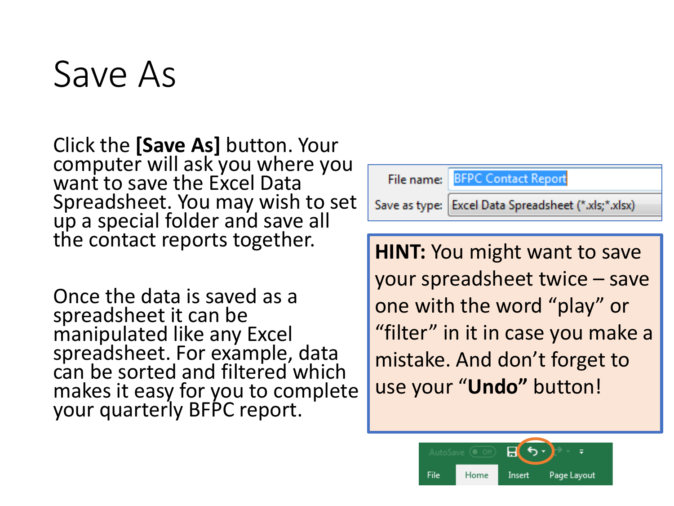# Save As

Click the **[Save As]** button. Your computer will ask you where you want to save the Excel Data Spreadsheet. You may wish to set up a special folder and save all the contact reports together.

Once the data is saved as a spreadsheet it can be manipulated like any Excel spreadsheet. For example, data can be sorted and filtered which makes it easy for you to complete your quarterly BFPC report.



**HINT:** You might want to save your spreadsheet twice – save one with the word "play" or "filter" in it in case you make a mistake. And don't forget to use your "**Undo"** button!

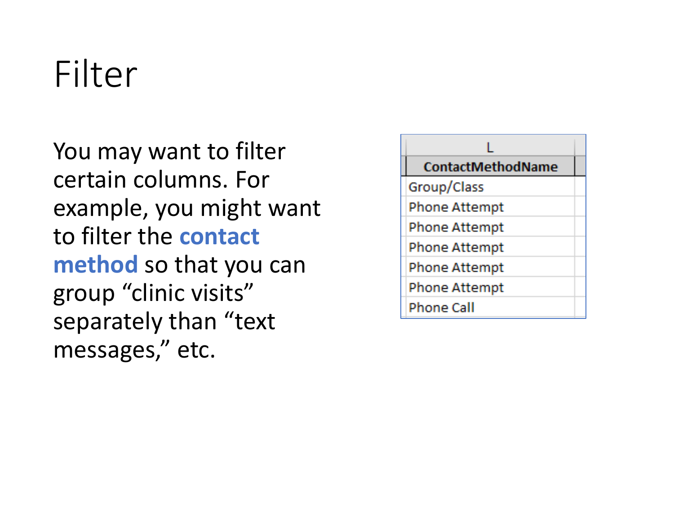# Filter

You may want to filter certain columns. For example, you might want to filter the **contact method** so that you can group "clinic visits" separately than "text messages," etc.

| <b>ContactMethodName</b> |
|--------------------------|
| Group/Class              |
| <b>Phone Attempt</b>     |
| <b>Phone Attempt</b>     |
| <b>Phone Attempt</b>     |
| <b>Phone Attempt</b>     |
| <b>Phone Attempt</b>     |
| <b>Phone Call</b>        |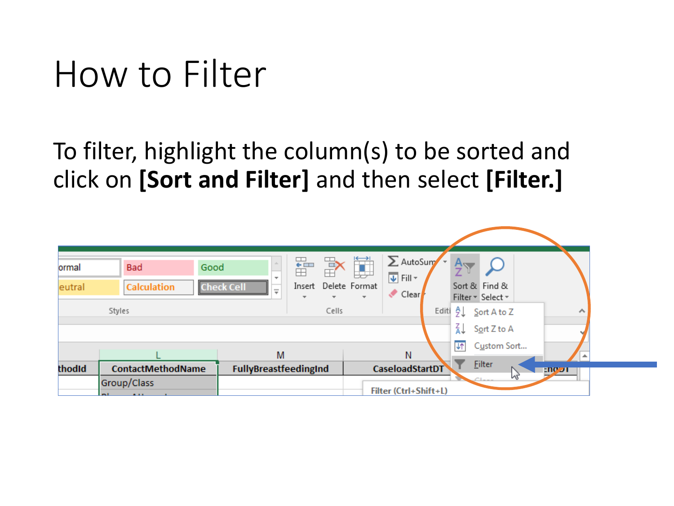# How to Filter

To filter, highlight the column(s) to be sorted and click on **[Sort and Filter]** and then select **[Filter.]**

| ormal<br>eutral | <b>Bad</b><br><b>Calculation</b>       | Good<br><b>Check Cell</b> | FF<br>EF<br>P<br>$\overline{\mathcal{R}}$<br>Insert<br>$\equiv$<br>÷. | ij<br>Delete Format<br>÷. | $\sum$ AutoSum<br>$\overline{\Psi}$ Fill $\overline{\tau}$<br>Clear<br>ℐ |       |                | Sort & Find &<br>Filter * Select * |      |
|-----------------|----------------------------------------|---------------------------|-----------------------------------------------------------------------|---------------------------|--------------------------------------------------------------------------|-------|----------------|------------------------------------|------|
|                 | Styles                                 |                           | Cells                                                                 |                           |                                                                          | Editi | ₹J<br>∡l       | $S$ ort A to Z<br>Sort Z to A      | ۸    |
|                 |                                        |                           | M                                                                     |                           | N                                                                        |       | $\overline{4}$ | Custom Sort                        |      |
| thodid          | <b>ContactMethodName</b>               |                           | FullyBreastfeedingInd                                                 |                           | <b>CaseloadStartDT</b>                                                   |       |                | <b>Filter</b><br>WL<br>$C$ Lane    | E107 |
|                 | Group/Class<br>$F = 1$<br><b>ALLEY</b> |                           |                                                                       |                           | Filter (Ctrl+Shift+L)                                                    |       |                |                                    |      |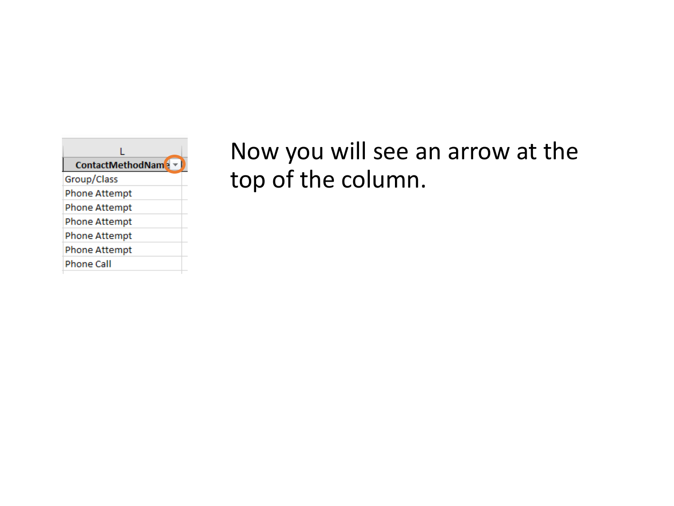

### Now you will see an arrow at the top of the column.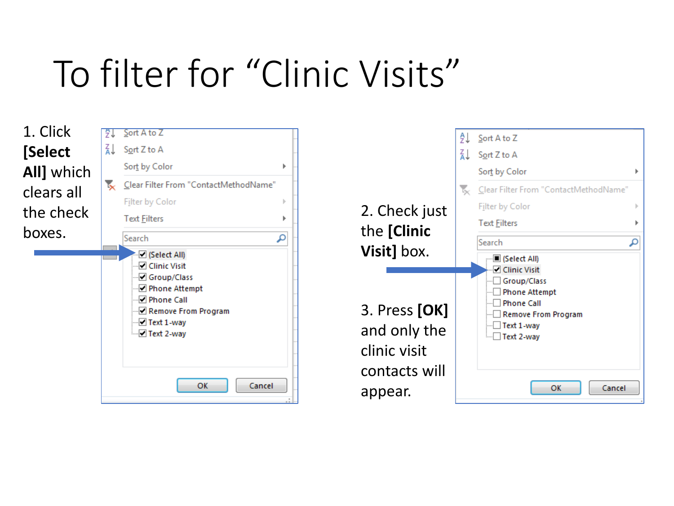# To filter for "Clinic Visits"



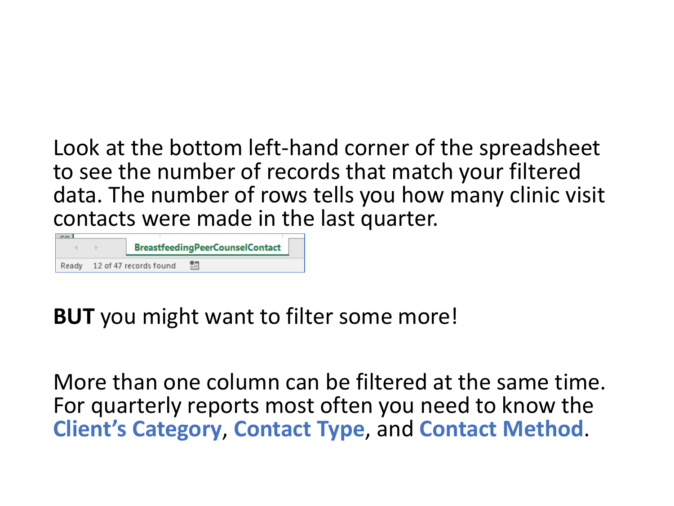Look at the bottom left-hand corner of the spreadsheet to see the number of records that match your filtered data. The number of rows tells you how many clinic visit contacts were made in the last quarter.

|       |                        | <b>BreastfeedingPeerCounselContact</b> |  |
|-------|------------------------|----------------------------------------|--|
| Ready | 12 of 47 records found | 酾                                      |  |

### **BUT** you might want to filter some more!

More than one column can be filtered at the same time. For quarterly reports most often you need to know the **Client's Category**, **Contact Type**, and **Contact Method**.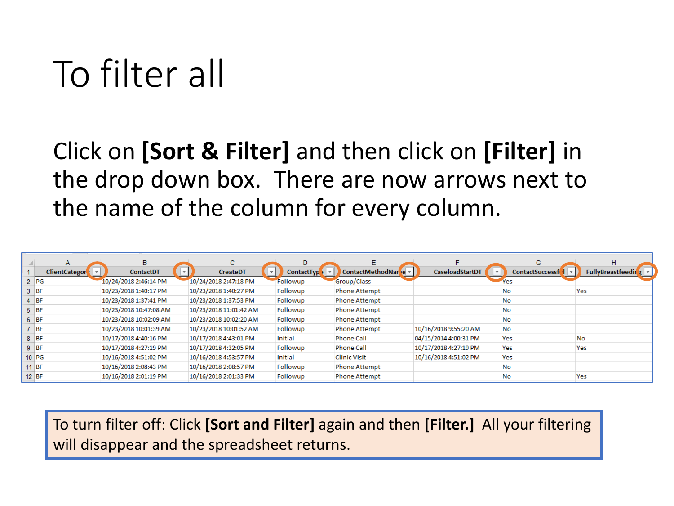# To filter all

### Click on **[Sort & Filter]** and then click on **[Filter]** in the drop down box. There are now arrows next to the name of the column for every column.

|         | A                    | B                      | C                      | D.                |                                   |                        | G                            | H                  |
|---------|----------------------|------------------------|------------------------|-------------------|-----------------------------------|------------------------|------------------------------|--------------------|
|         | <b>ClientCategor</b> | <b>ContactDT</b>       | <b>CreateDT</b>        | <b>ContactTyp</b> | ContactMethodNar <sup>1</sup> e ▼ | <b>CaseloadStartDT</b> | ContactSuccessf <sup>1</sup> | FullyBreastfeeding |
|         | $2$ $PG$             | 10/24/2018 2:46:14 PM  | 10/24/2018 2:47:18 PM  | Followup          | Group/Class                       |                        | Yes                          |                    |
|         | <b>BF</b>            | 10/23/2018 1:40:17 PM  | 10/23/2018 1:40:27 PM  | Followup          | <b>Phone Attempt</b>              |                        | No                           | Yes                |
|         | <b>BF</b>            | 10/23/2018 1:37:41 PM  | 10/23/2018 1:37:53 PM  | Followup          | <b>Phone Attempt</b>              |                        | No                           |                    |
| 5.      | <b>BF</b>            | 10/23/2018 10:47:08 AM | 10/23/2018 11:01:42 AM | Followup          | <b>Phone Attempt</b>              |                        | No                           |                    |
|         | $6$ BF               | 10/23/2018 10:02:09 AM | 10/23/2018 10:02:20 AM | Followup          | <b>Phone Attempt</b>              |                        | No                           |                    |
|         | <b>BF</b>            | 10/23/2018 10:01:39 AM | 10/23/2018 10:01:52 AM | Followup          | <b>Phone Attempt</b>              | 10/16/2018 9:55:20 AM  | <b>No</b>                    |                    |
|         | $8$ BF               | 10/17/2018 4:40:16 PM  | 10/17/2018 4:43:01 PM  | Initial           | <b>Phone Call</b>                 | 04/15/2014 4:00:31 PM  | Yes                          | No                 |
|         | $9$ BF               | 10/17/2018 4:27:19 PM  | 10/17/2018 4:32:05 PM  | Followup          | <b>Phone Call</b>                 | 10/17/2018 4:27:19 PM  | Yes                          | Yes                |
|         | $10$ PG              | 10/16/2018 4:51:02 PM  | 10/16/2018 4:53:57 PM  | Initial           | <b>Clinic Visit</b>               | 10/16/2018 4:51:02 PM  | Yes                          |                    |
|         | <b>BF</b>            | 10/16/2018 2:08:43 PM  | 10/16/2018 2:08:57 PM  | Followup          | <b>Phone Attempt</b>              |                        | <b>No</b>                    |                    |
| $12$ BF |                      | 10/16/2018 2:01:19 PM  | 10/16/2018 2:01:33 PM  | Followup          | <b>Phone Attempt</b>              |                        | No                           | Yes                |

To turn filter off: Click **[Sort and Filter]** again and then **[Filter.]** All your filtering will disappear and the spreadsheet returns.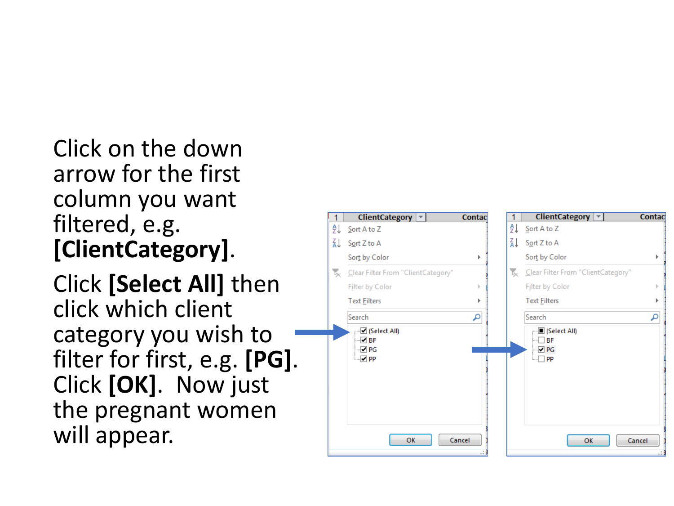Click on the down arrow for the first column you want filtered, e.g. **[ClientCategory]**.

Click **[Select All]** then click which client category you wish to filter for first, e.g. **[PG]**. Click **[OK]**. Now just the pregnant women will appear.

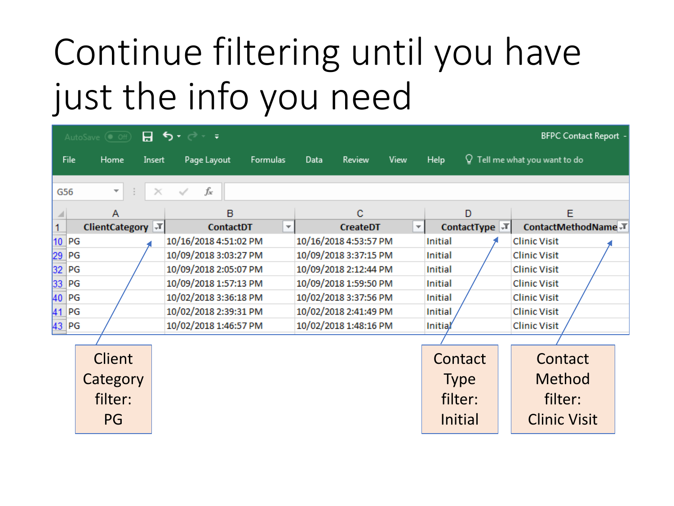# Continue filtering until you have just the info you need

|           | <b>BFPC Contact Report</b> -<br>⊸ ہ دو  ⊞<br>AutoSave $($ Off) |                       |                         |      |                       |                          |                            |  |                                           |  |  |  |
|-----------|----------------------------------------------------------------|-----------------------|-------------------------|------|-----------------------|--------------------------|----------------------------|--|-------------------------------------------|--|--|--|
| File      | Home<br>Insert                                                 | Page Layout           | Formulas                | Data | <b>Review</b>         | View                     | Help                       |  | $\mathsf Q\,$ Tell me what you want to do |  |  |  |
| G56       | ÷<br>$\overline{\phantom{a}}$                                  | fx<br>$\times$        |                         |      |                       |                          |                            |  |                                           |  |  |  |
|           | Α                                                              | в                     |                         |      | c                     |                          | D                          |  | E                                         |  |  |  |
|           | ClientCategory \T                                              | <b>ContactDT</b>      | $\overline{\mathbf{v}}$ |      | <b>CreateDT</b>       | $\overline{\phantom{a}}$ | ContactType $\overline{I}$ |  | ContactMethodName T                       |  |  |  |
| 10 PG     |                                                                | 10/16/2018 4:51:02 PM |                         |      | 10/16/2018 4:53:57 PM |                          | Initial                    |  | <b>Clinic Visit</b>                       |  |  |  |
| 29<br> PG |                                                                | 10/09/2018 3:03:27 PM |                         |      | 10/09/2018 3:37:15 PM |                          | <b>Initial</b>             |  | <b>Clinic Visit</b>                       |  |  |  |
| 32<br> PG |                                                                | 10/09/2018 2:05:07 PM |                         |      | 10/09/2018 2:12:44 PM |                          | <b>Initial</b>             |  | <b>Clinic Visit</b>                       |  |  |  |
| 33 PG     |                                                                |                       | 10/09/2018 1:57:13 PM   |      |                       | 10/09/2018 1:59:50 PM    | Initial                    |  | <b>Clinic Visit</b>                       |  |  |  |
| 40 PG     |                                                                |                       | 10/02/2018 3:36:18 PM   |      |                       | 10/02/2018 3:37:56 PM    |                            |  | <b>Clinic Visit</b>                       |  |  |  |
| 41 PG     |                                                                |                       | 10/02/2018 2:39:31 PM   |      |                       | 10/02/2018 2:41:49 PM    |                            |  | <b>Clinic Visit</b>                       |  |  |  |
| 43 PG     |                                                                |                       | 10/02/2018 1:46:57 PM   |      |                       | 10/02/2018 1:48:16 PM    |                            |  | <b>Clinic Visit</b>                       |  |  |  |
|           |                                                                |                       |                         |      |                       |                          |                            |  |                                           |  |  |  |
|           | <b>Client</b>                                                  |                       |                         |      |                       |                          | Contact                    |  | Contact                                   |  |  |  |
|           | Category                                                       |                       |                         |      |                       |                          | <b>Type</b>                |  | <b>Method</b>                             |  |  |  |
|           | filter:                                                        |                       |                         |      |                       |                          | filter:                    |  | filter:                                   |  |  |  |
|           |                                                                |                       |                         |      |                       |                          |                            |  |                                           |  |  |  |
|           | PG                                                             |                       |                         |      |                       |                          | Initial                    |  | <b>Clinic Visit</b>                       |  |  |  |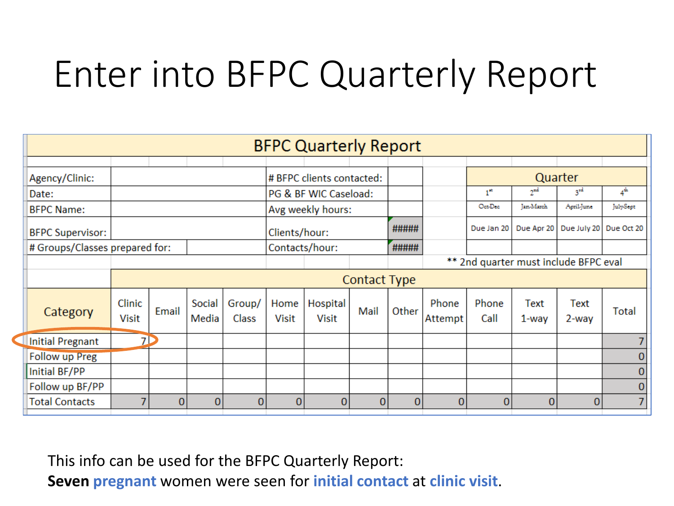# Enter into BFPC Quarterly Report

|                         | <b>BFPC Quarterly Report</b>   |       |                 |                         |                       |                           |              |          |                  |                                       |                 |               |          |
|-------------------------|--------------------------------|-------|-----------------|-------------------------|-----------------------|---------------------------|--------------|----------|------------------|---------------------------------------|-----------------|---------------|----------|
|                         |                                |       |                 |                         |                       |                           |              |          |                  |                                       |                 |               |          |
| Agency/Clinic:          |                                |       |                 |                         |                       | # BFPC clients contacted: |              |          |                  |                                       | Quarter         |               |          |
| Date:                   |                                |       |                 |                         | PG & BF WIC Caseload: |                           |              |          |                  | 1 <sup>st</sup>                       | 2 <sup>nd</sup> | $3^{\rm rd}$  | $4^{th}$ |
| <b>BFPC Name:</b>       |                                |       |                 |                         | Avg weekly hours:     |                           |              |          |                  | Oct-Dec                               | Jan-March       | April-June    | JulySept |
| <b>BFPC Supervisor:</b> |                                |       |                 | Clients/hour:           |                       |                           | #####        |          | Due Jan 20       | Due Apr 20                            | Due July 20     | Due Oct 20    |          |
|                         | # Groups/Classes prepared for: |       |                 | #####<br>Contacts/hour: |                       |                           |              |          |                  |                                       |                 |               |          |
|                         |                                |       |                 |                         |                       |                           |              |          |                  | ** 2nd quarter must include BFPC eval |                 |               |          |
|                         |                                |       |                 |                         | Contact Type          |                           |              |          |                  |                                       |                 |               |          |
| Category                | Clinic<br><b>Visit</b>         | Email | Social<br>Media | Group/<br>Class         | Home<br>Visit         | Hospital<br><b>Visit</b>  | Mail         | Other    | Phone<br>Attempt | Phone<br>Call                         | Text<br>1-way   | Text<br>2-way | Total    |
| <b>Initial Pregnant</b> | 7D                             |       |                 |                         |                       |                           |              |          |                  |                                       |                 |               |          |
| <b>Follow up Preg</b>   |                                |       |                 |                         |                       |                           |              |          |                  |                                       |                 |               | 0        |
| Initial BF/PP           |                                |       |                 |                         |                       |                           |              |          |                  |                                       |                 |               | 0        |
| Follow up BF/PP         |                                |       |                 |                         |                       |                           |              |          |                  |                                       |                 |               | 0        |
| <b>Total Contacts</b>   | 7                              | 01    | $\overline{0}$  | 0                       | $\mathbf{0}$          | $\mathbf{0}$              | $\mathbf{0}$ | $\bf{0}$ | $\overline{0}$   | $\bf{0}$                              | $\mathbf{0}$    | $\mathbf{0}$  | 7        |

This info can be used for the BFPC Quarterly Report:

**Seven pregnant** women were seen for **initial contact** at **clinic visit**.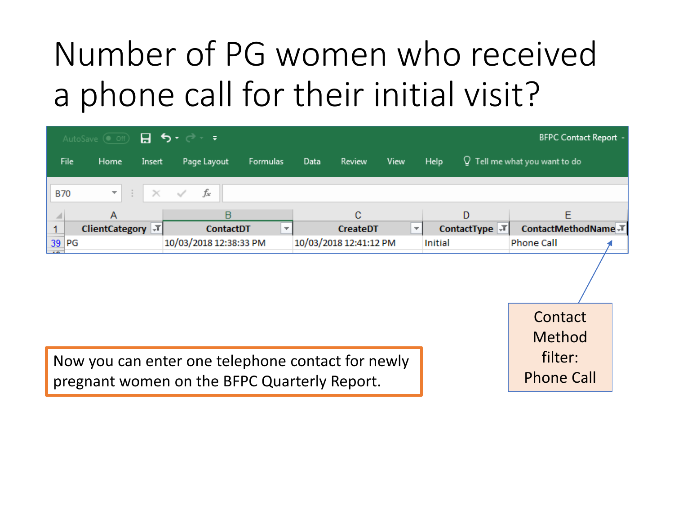# Number of PG women who received a phone call for their initial visit?

|            | AutoSave $\circledast$ off) $\Box$ 5 $\bullet$ $\bullet$ $\bullet$ 7 |                        |                          |      |                          |                          |         |                             | <b>BFPC Contact Report -</b>    |  |
|------------|----------------------------------------------------------------------|------------------------|--------------------------|------|--------------------------|--------------------------|---------|-----------------------------|---------------------------------|--|
| File       | Home<br>Insert                                                       | Page Layout            | Formulas                 | Data | Review                   | View                     | Help    |                             | $Q$ Tell me what you want to do |  |
| <b>B70</b> | Æ<br>$\times$<br>▼                                                   | fx<br>$\checkmark$     |                          |      |                          |                          |         |                             |                                 |  |
|            | A                                                                    | B                      |                          |      | C                        |                          |         | D                           | Ε                               |  |
|            | <b>ClientCategory</b>                                                | <b>ContactDT</b>       | $\overline{\phantom{a}}$ |      | <b>CreateDT</b>          | $\overline{\phantom{a}}$ |         | ContactType $ \mathcal{F} $ | ContactMethodName JT            |  |
| 39 PG      |                                                                      | 10/03/2018 12:38:33 PM |                          |      | 10/03/2018 12:41:12 PM   |                          | Initial |                             | <b>Phone Call</b>               |  |
|            |                                                                      |                        |                          |      |                          |                          |         |                             |                                 |  |
|            |                                                                      |                        |                          |      |                          |                          |         |                             | Contact                         |  |
|            |                                                                      |                        |                          |      |                          |                          |         |                             | Method                          |  |
|            |                                                                      |                        |                          |      | $\overline{\phantom{a}}$ |                          |         |                             | $f:1+\alpha$                    |  |

Now you can enter one telephone contact for newly pregnant women on the BFPC Quarterly Report.

filter: Phone Call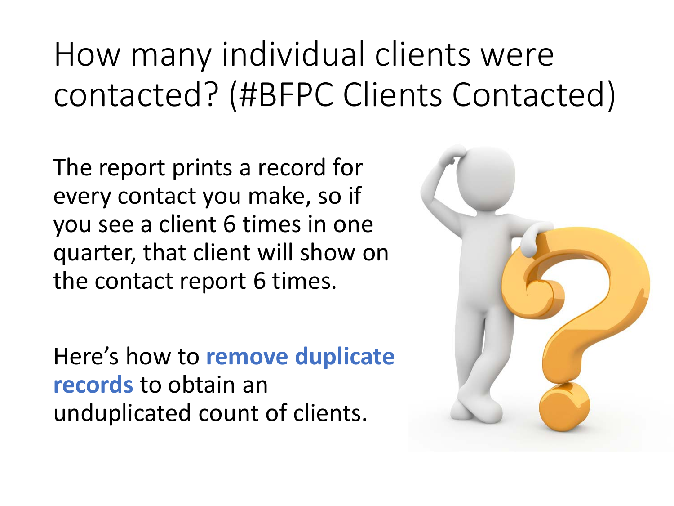# How many individual clients were contacted? (#BFPC Clients Contacted)

The report prints a record for every contact you make, so if you see a client 6 times in one quarter, that client will show on the contact report 6 times.

Here's how to **remove duplicate records** to obtain an unduplicated count of clients.

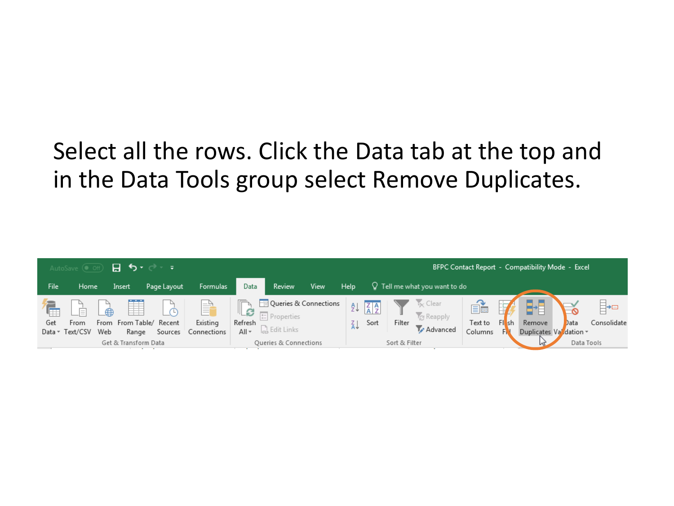### Select all the rows. Click the Data tab at the top and in the Data Tools group select Remove Duplicates.

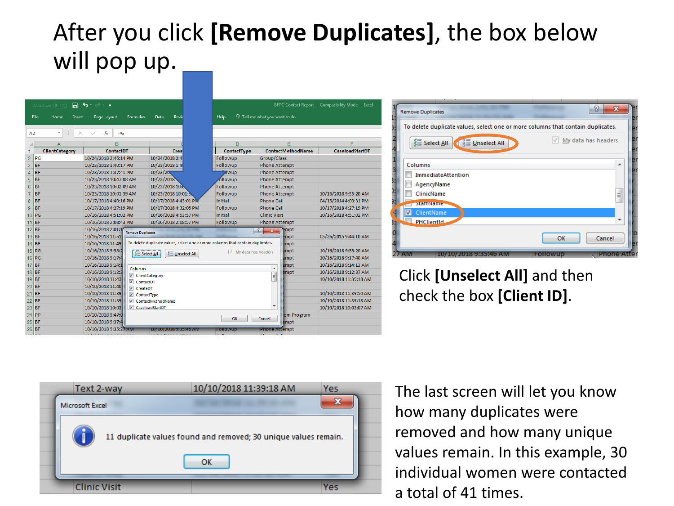### After you click **[Remove Duplicates]**, the box below will pop up.

|                  | AutoSave (Off)<br>日     | $\leftrightarrow$<br>$\overline{\phantom{a}}$ |                                                                                 |                                  |                                      |                          | BFPC Contact Report - Compatibility Mode - Excel |
|------------------|-------------------------|-----------------------------------------------|---------------------------------------------------------------------------------|----------------------------------|--------------------------------------|--------------------------|--------------------------------------------------|
|                  | File<br>Home<br>Insert  | Page Layout<br><b>Formulas</b>                | Data<br>Revie                                                                   | Help                             | $\Omega$ Tell me what you want to do |                          |                                                  |
|                  |                         |                                               |                                                                                 |                                  |                                      |                          |                                                  |
| A2               | $\overline{\mathbf{v}}$ | fx<br>PG                                      |                                                                                 |                                  |                                      |                          |                                                  |
|                  | А                       | в                                             |                                                                                 | D                                |                                      | Е                        |                                                  |
| 1                | ClientCategory          | <b>ContactDT</b>                              | Crea                                                                            | ContactType                      |                                      | <b>ContactMethodName</b> | CaseloadStartDT                                  |
| $\overline{2}$   | PG                      | 10/24/2018 2:46:14 PM                         | 10/24/2018 2:4                                                                  | Followup                         | Group/Class                          |                          |                                                  |
| 3                | <b>BF</b>               | 10/23/2018 1:40:17 PM                         | 10/23/2018 1:4                                                                  | Followup                         | <b>Phone Attempt</b>                 |                          |                                                  |
| 4                | <b>BF</b>               | 10/23/2018 1:37:41 PM                         | 10/23/20                                                                        | owup                             | <b>Phone Attempt</b>                 |                          |                                                  |
| 5                | BF                      | 10/23/2018 10:47:08 AM                        | 10/23/2018                                                                      | ollowup                          | <b>Phone Attempt</b>                 |                          |                                                  |
| $6\overline{6}$  | <b>BF</b>               | 10/23/2018 10:02:09 AM                        | 10/23/2018 10:0                                                                 | Followup                         | <b>Phone Attempt</b>                 |                          |                                                  |
| $\overline{7}$   | <b>BF</b>               | 10/23/2018 10:01:39 AM                        | 10/23/2018 10:01:5                                                              | Followup                         | <b>Phone Attempt</b>                 |                          | 10/16/2018 9:55:20 AM                            |
| $\boldsymbol{8}$ | <b>BF</b>               | 10/17/2018 4:40:16 PM                         | 10/17/2018 4:43:01 PM                                                           | <b>Initial</b>                   | <b>Phone Call</b>                    |                          | 04/15/2014 4:00:31 PM                            |
| 9                | <b>BF</b>               | 10/17/2018 4:27:19 PM                         | 10/17/2018 4:32:05 PM                                                           | Followup                         | <b>Phone Call</b>                    |                          | 10/17/2018 4:27:19 PM                            |
| 10               | PG                      | 10/16/2018 4:51:02 PM                         | 10/16/2018 4:53:57 PM                                                           | Initial                          | <b>Clinic Visit</b>                  |                          | 10/16/2018 4:51:02 PM                            |
| 11               | <b>BF</b>               | 10/16/2018 2:08:43 PM                         | 10/16/2018 2:08:57 PM                                                           | Followup                         | <b>Phone Attempt</b>                 |                          |                                                  |
| 12               | <b>BF</b>               | 10/16/2018 2:01:1<br><b>Remove Duplicates</b> |                                                                                 |                                  | $\Omega$<br>$\overline{\mathbf{x}}$  | empt                     |                                                  |
| 13               | <b>BF</b>               | 10/16/2018 11:51:                             |                                                                                 |                                  |                                      | empt                     | 05/26/2015 9:44:10 AM                            |
| 14               | <b>BF</b>               | 10/16/2018 11:49:                             | To delete duplicate values, select one or more columns that contain duplicates. |                                  |                                      | empt                     |                                                  |
| 15               | PG                      | 10/16/2018 9:55:2                             | $\frac{3}{2}$ Select All<br>三 Unselect All                                      | $\sqrt{}$<br>My data has headers |                                      | empt                     | 10/16/2018 9:55:20 AM                            |
| 16               | PG                      | 10/16/2018 9:17:4                             |                                                                                 |                                  |                                      | empt                     | 10/16/2018 9:17:40 AM                            |
| 17               | <b>BF</b>               | 10/16/2018 9:14:1<br>Columns                  |                                                                                 |                                  | $\blacktriangle$                     | empt                     | 10/16/2018 9:14:13 AM                            |
| 18               | IBF                     | 10/16/2018 9:12:3                             | ClientCategory                                                                  |                                  | E                                    | empt                     | 10/16/2018 9:12:37 AM                            |
| 19               | BF                      | 10/10/2018 11:43:<br><b>V</b> ContactDT       |                                                                                 |                                  |                                      |                          | 10/10/2018 11:39:18 AM                           |
| 20               | <b>BF</b>               | 10/10/2018 11:40:<br>$\triangledown$ CreateDT |                                                                                 |                                  |                                      |                          |                                                  |
| 21               | <b>BF</b>               | 10/10/2018 11:39:<br>ContactType              |                                                                                 |                                  |                                      |                          | 10/10/2018 11:39:50 AM                           |
| 22               | <b>BF</b>               | 10/10/2018 11:39:<br>$\overline{\mathsf{v}}$  | ContactMethodName                                                               |                                  |                                      |                          | 10/10/2018 11:39:18 AM                           |
| 23               | <b>BF</b>               | 10/10/2018 10:03:                             | CaseloadStartDT                                                                 |                                  | ٠                                    |                          | 10/10/2018 10:03:07 AM                           |
| 24               | PP                      | 10/10/2018 9:47:0                             |                                                                                 | OK                               | Cancel                               | om Program               |                                                  |
| 25               | <b>BF</b>               | 10/10/2018 9:37:4                             |                                                                                 |                                  |                                      | empt                     |                                                  |
| 26               | <b>BF</b>               | 10/10/2018 9:35:27 AM                         | 10/10/2018 9:35:46 AM                                                           | Followup                         | Phone Attempt                        |                          |                                                  |
|                  |                         |                                               | 10/10/20100.27.26                                                               |                                  |                                      |                          |                                                  |



#### Click **[Unselect All]** and then check the box **[Client ID]**.



The last screen will let you know how many duplicates were removed and how many unique values remain. In this example, 30 individual women were contacted a total of 41 times.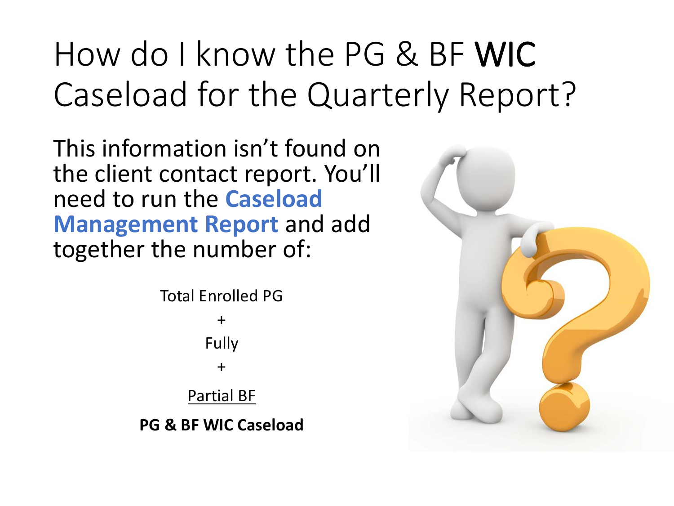# How do I know the PG & BF WIC Caseload for the Quarterly Report?

This information isn't found on the client contact report. You'll need to run the **Caseload Management Report** and add together the number of:

> Total Enrolled PG + Fully + Partial BF

**PG & BF WIC Caseload**

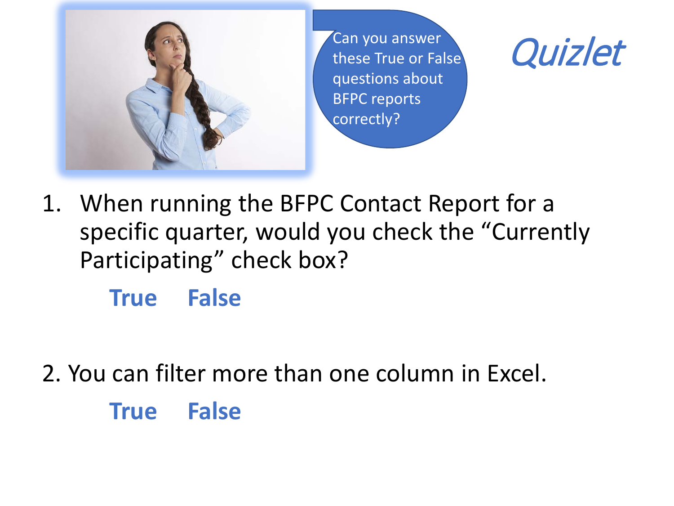

Can you answer<br>these True or False **Quizlet** these True or False questions about BFPC reports correctly?



1. When running the BFPC Contact Report for a specific quarter, would you check the "Currently Participating" check box?

**True False**

2. You can filter more than one column in Excel.

**True False**